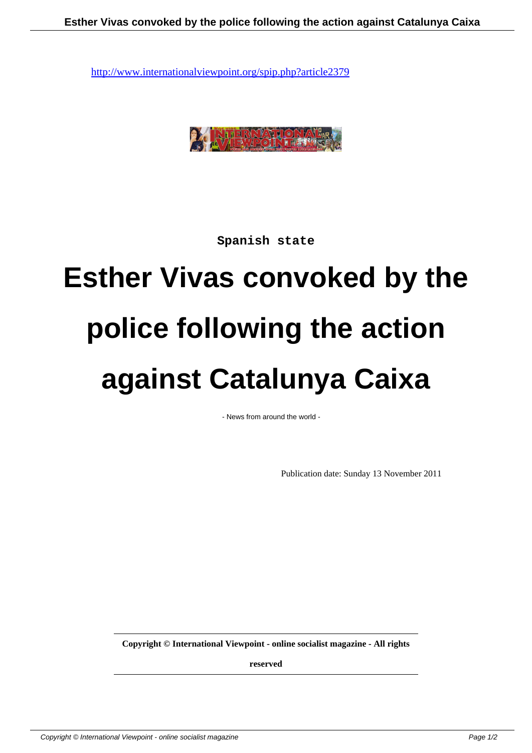

**Spanish state**

## **Esther Vivas convoked by the police following the action against Catalunya Caixa**

- News from around the world -

Publication date: Sunday 13 November 2011

**Copyright © International Viewpoint - online socialist magazine - All rights**

**reserved**